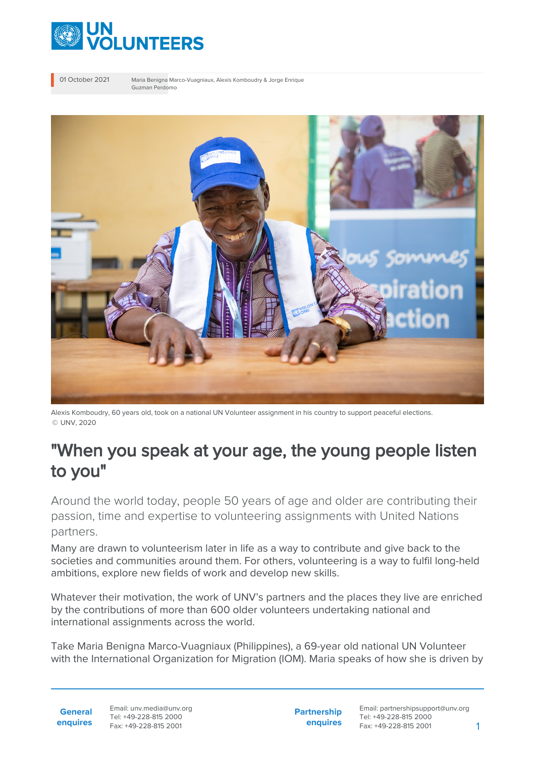

01 October 2021 Maria Benigna Marco-Vuagniaux, Alexis Komboudry & Jorge Enrique Guzman Perdomo



Alexis Komboudry, 60 years old, took on a national UN Volunteer assignment in his country to support peaceful elections. © UNV, 2020

## "When you speak at your age, the young people listen to you"

Around the world today, people 50 years of age and older are contributing their passion, time and expertise to volunteering assignments with United Nations partners.

Many are drawn to volunteerism later in life as a way to contribute and give back to the societies and communities around them. For others, volunteering is a way to fulfil long-held ambitions, explore new fields of work and develop new skills.

Whatever their motivation, the work of UNV's partners and the places they live are enriched by the contributions of more than 600 older volunteers undertaking national and international assignments across the world.

Take Maria Benigna Marco-Vuagniaux (Philippines), a 69-year old national UN Volunteer with the International Organization for Migration (IOM). Maria speaks of how she is driven by

**General enquires** Email: unv.media@unv.org Tel: +49-228-815 2000 Fax: +49-228-815 2001

**Partnership enquires**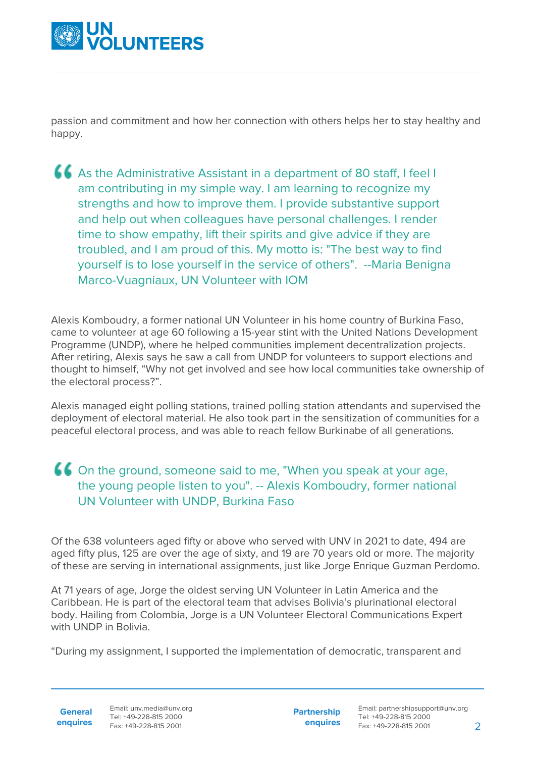

passion and commitment and how her connection with others helps her to stay healthy and happy.

As the Administrative Assistant in a department of 80 staff, I feel I am contributing in my simple way. I am learning to recognize my strengths and how to improve them. I provide substantive support and help out when colleagues have personal challenges. I render time to show empathy, lift their spirits and give advice if they are troubled, and I am proud of this. My motto is: "The best way to find yourself is to lose yourself in the service of others". --Maria Benigna Marco-Vuagniaux, UN Volunteer with IOM

Alexis Komboudry, a former national UN Volunteer in his home country of Burkina Faso, came to volunteer at age 60 following a 15-year stint with the United Nations Development Programme (UNDP), where he helped communities implement decentralization projects. After retiring, Alexis says he saw a call from UNDP for volunteers to support elections and thought to himself, "Why not get involved and see how local communities take ownership of the electoral process?".

Alexis managed eight polling stations, trained polling station attendants and supervised the deployment of electoral material. He also took part in the sensitization of communities for a peaceful electoral process, and was able to reach fellow Burkinabe of all generations.

## On the ground, someone said to me, "When you speak at your age, the young people listen to you". -- Alexis Komboudry, former national UN Volunteer with UNDP, Burkina Faso

Of the 638 volunteers aged fifty or above who served with UNV in 2021 to date, 494 are aged fifty plus, 125 are over the age of sixty, and 19 are 70 years old or more. The majority of these are serving in international assignments, just like Jorge Enrique Guzman Perdomo.

At 71 years of age, Jorge the oldest serving UN Volunteer in Latin America and the Caribbean. He is part of the electoral team that advises Bolivia's plurinational electoral body. Hailing from Colombia, Jorge is a UN Volunteer Electoral Communications Expert with UNDP in Bolivia.

"During my assignment, I supported the implementation of democratic, transparent and

**General enquires** **Partnership enquires**